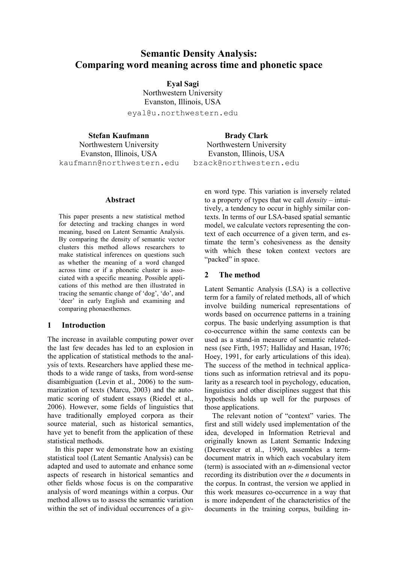# **Semantic Density Analysis: Comparing word meaning across time and phonetic space**

**Eyal Sagi** Northwestern University Evanston, Illinois, USA eyal@u.northwestern.edu

**Stefan Kaufmann** Northwestern University Evanston, Illinois, USA kaufmann@northwestern.edu

**Abstract**

This paper presents a new statistical method for detecting and tracking changes in word meaning, based on Latent Semantic Analysis. By comparing the density of semantic vector clusters this method allows researchers to make statistical inferences on questions such as whether the meaning of a word changed across time or if a phonetic cluster is associated with a specific meaning. Possible applications of this method are then illustrated in tracing the semantic change of 'dog', 'do', and 'deer' in early English and examining and comparing phonaesthemes.

#### **1 Introduction**

The increase in available computing power over the last few decades has led to an explosion in the application of statistical methods to the analysis of texts. Researchers have applied these methods to a wide range of tasks, from word-sense disambiguation (Levin et al., 2006) to the summarization of texts (Marcu, 2003) and the automatic scoring of student essays (Riedel et al., 2006). However, some fields of linguistics that have traditionally employed corpora as their source material, such as historical semantics, have yet to benefit from the application of these statistical methods.

In this paper we demonstrate how an existing statistical tool (Latent Semantic Analysis) can be adapted and used to automate and enhance some aspects of research in historical semantics and other fields whose focus is on the comparative analysis of word meanings within a corpus. Our method allows us to assess the semantic variation within the set of individual occurrences of a giv-

**Brady Clark** Northwestern University Evanston, Illinois, USA bzack@northwestern.edu

> en word type. This variation is inversely related to a property of types that we call *density* – intuitively, a tendency to occur in highly similar contexts. In terms of our LSA-based spatial semantic model, we calculate vectors representing the context of each occurrence of a given term, and estimate the term"s cohesiveness as the density with which these token context vectors are "packed" in space.

## **2 The method**

Latent Semantic Analysis (LSA) is a collective term for a family of related methods, all of which involve building numerical representations of words based on occurrence patterns in a training corpus. The basic underlying assumption is that co-occurrence within the same contexts can be used as a stand-in measure of semantic relatedness (see Firth, 1957; Halliday and Hasan, 1976; Hoey, 1991, for early articulations of this idea). The success of the method in technical applications such as information retrieval and its popularity as a research tool in psychology, education, linguistics and other disciplines suggest that this hypothesis holds up well for the purposes of those applications.

The relevant notion of "context" varies. The first and still widely used implementation of the idea, developed in Information Retrieval and originally known as Latent Semantic Indexing (Deerwester et al., 1990), assembles a termdocument matrix in which each vocabulary item (term) is associated with an *n-*dimensional vector recording its distribution over the *n* documents in the corpus. In contrast, the version we applied in this work measures co-occurrence in a way that is more independent of the characteristics of the documents in the training corpus, building in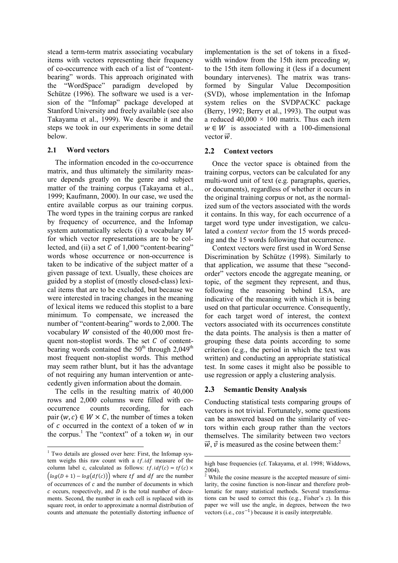stead a term-term matrix associating vocabulary items with vectors representing their frequency of co-occurrence with each of a list of "contentbearing" words. This approach originated with the "WordSpace" paradigm developed by Schütze (1996). The software we used is a version of the "Infomap" package developed at Stanford University and freely available (see also Takayama et al., 1999). We describe it and the steps we took in our experiments in some detail below.

## **2.1 Word vectors**

The information encoded in the co-occurrence matrix, and thus ultimately the similarity measure depends greatly on the genre and subject matter of the training corpus (Takayama et al., 1999; Kaufmann, 2000). In our case, we used the entire available corpus as our training corpus. The word types in the training corpus are ranked by frequency of occurrence, and the Infomap system automatically selects (i) a vocabulary W for which vector representations are to be collected, and (ii) a set  $C$  of 1,000 "content-bearing" words whose occurrence or non-occurrence is taken to be indicative of the subject matter of a given passage of text. Usually, these choices are guided by a stoplist of (mostly closed-class) lexical items that are to be excluded, but because we were interested in tracing changes in the meaning of lexical items we reduced this stoplist to a bare minimum. To compensate, we increased the number of "content-bearing" words to 2,000. The vocabulary  $W$  consisted of the 40,000 most frequent non-stoplist words. The set  $C$  of contentbearing words contained the  $50<sup>th</sup>$  through  $2,049<sup>th</sup>$ most frequent non-stoplist words. This method may seem rather blunt, but it has the advantage of not requiring any human intervention or antecedently given information about the domain.

The cells in the resulting matrix of 40,000 rows and 2,000 columns were filled with cooccurrence counts recording, for each pair  $\langle w, c \rangle \in W \times C$ , the number of times a token of  $c$  occurred in the context of a token of  $w$  in the corpus.<sup>1</sup> The "context" of a token  $w_i$  in our

implementation is the set of tokens in a fixedwidth window from the 15th item preceding  $w_i$ to the 15th item following it (less if a document boundary intervenes). The matrix was transformed by Singular Value Decomposition (SVD), whose implementation in the Infomap system relies on the SVDPACKC package (Berry, 1992; Berry et al., 1993). The output was a reduced  $40,000 \times 100$  matrix. Thus each item  $w \in W$  is associated with a 100-dimensional vector  $\vec{w}$ .

## **2.2 Context vectors**

Once the vector space is obtained from the training corpus, vectors can be calculated for any multi-word unit of text (e.g. paragraphs, queries, or documents), regardless of whether it occurs in the original training corpus or not, as the normalized sum of the vectors associated with the words it contains. In this way, for each occurrence of a target word type under investigation, we calculated a *context vector* from the 15 words preceding and the 15 words following that occurrence.

Context vectors were first used in Word Sense Discrimination by Schütze (1998). Similarly to that application, we assume that these "secondorder" vectors encode the aggregate meaning, or topic, of the segment they represent, and thus, following the reasoning behind LSA, are indicative of the meaning with which it is being used on that particular occurrence. Consequently, for each target word of interest, the context vectors associated with its occurrences constitute the data points. The analysis is then a matter of grouping these data points according to some criterion (e.g., the period in which the text was written) and conducting an appropriate statistical test. In some cases it might also be possible to use regression or apply a clustering analysis.

## **2.3 Semantic Density Analysis**

Conducting statistical tests comparing groups of vectors is not trivial. Fortunately, some questions can be answered based on the similarity of vectors within each group rather than the vectors themselves. The similarity between two vectors  $\vec{w}$ ,  $\vec{v}$  is measured as the cosine between them:

 $1$  Two details are glossed over here: First, the Infomap system weighs this raw count with a  $tf.idf$  measure of the column label c, calculated as follows:  $tf.id f(c) = tf(c) \times$  $\big( \log(D+1) - \log(d f(c)) \big)$  where tf and df are the number of occurrences of  $c$  and the number of documents in which  $c$  occurs, respectively, and  $D$  is the total number of documents. Second, the number in each cell is replaced with its square root, in order to approximate a normal distribution of counts and attenuate the potentially distorting influence of

high base frequencies (cf. Takayama, et al. 1998; Widdows, 2004).

<sup>2</sup> While the cosine measure is the accepted measure of similarity, the cosine function is non-linear and therefore problematic for many statistical methods. Several transformations can be used to correct this (e.g., Fisher"s *z*). In this paper we will use the angle, in degrees, between the two vectors (i.e.,  $cos^{-1}$ ) because it is easily interpretable.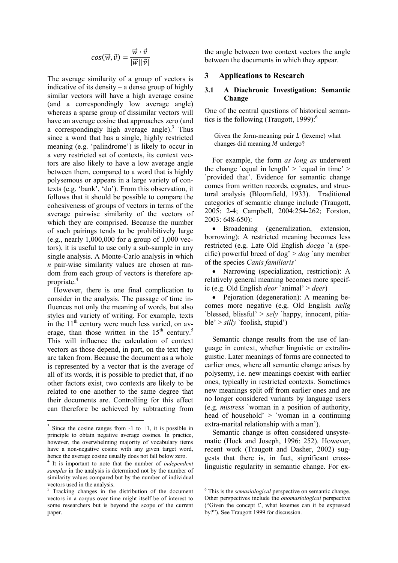$$
cos(\vec{w}, \vec{v}) = \frac{\vec{w} \cdot \vec{v}}{|\vec{w}||\vec{v}|}
$$

The average similarity of a group of vectors is indicative of its density – a dense group of highly similar vectors will have a high average cosine (and a correspondingly low average angle) whereas a sparse group of dissimilar vectors will have an average cosine that approaches zero (and a correspondingly high average angle).<sup>3</sup> Thus since a word that has a single, highly restricted meaning (e.g. "palindrome") is likely to occur in a very restricted set of contexts, its context vectors are also likely to have a low average angle between them, compared to a word that is highly polysemous or appears in a large variety of contexts (e.g. "bank", "do"). From this observation, it follows that it should be possible to compare the cohesiveness of groups of vectors in terms of the average pairwise similarity of the vectors of which they are comprised. Because the number of such pairings tends to be prohibitively large (e.g., nearly  $1,000,000$  for a group of  $1,000$  vectors), it is useful to use only a sub-sample in any single analysis. A Monte-Carlo analysis in which *n* pair-wise similarity values are chosen at random from each group of vectors is therefore appropriate.<sup>4</sup>

However, there is one final complication to consider in the analysis. The passage of time influences not only the meaning of words, but also styles and variety of writing. For example, texts in the  $11<sup>th</sup>$  century were much less varied, on average, than those written in the  $15<sup>th</sup>$  century.<sup>5</sup> This will influence the calculation of context vectors as those depend, in part, on the text they are taken from. Because the document as a whole is represented by a vector that is the average of all of its words, it is possible to predict that, if no other factors exist, two contexts are likely to be related to one another to the same degree that their documents are. Controlling for this effect can therefore be achieved by subtracting from the angle between two context vectors the angle between the documents in which they appear.

#### **3 Applications to Research**

### **3.1 A Diachronic Investigation: Semantic Change**

One of the central questions of historical semantics is the following (Traugott,  $1999$ ):<sup>6</sup>

Given the form-meaning pair  $L$  (lexeme) what changes did meaning  $M$  undergo?

For example, the form *as long as* underwent the change 'equal in length'  $>$  'equal in time'  $>$ `provided that". Evidence for semantic change comes from written records, cognates, and structural analysis (Bloomfield, 1933). Traditional categories of semantic change include (Traugott, 2005: 2-4; Campbell, 2004:254-262; Forston, 2003: 648-650):

 Broadening (generalization, extension, borrowing): A restricted meaning becomes less restricted (e.g. Late Old English *docga* `a (specific) powerful breed of dog" > *dog* `any member of the species *Canis familiaris*"

• Narrowing (specialization, restriction): A relatively general meaning becomes more specific (e.g. Old English *deor* `animal" > *deer*)

 Pejoration (degeneration): A meaning becomes more negative (e.g. Old English *sælig* `blessed, blissful" > *sely* `happy, innocent, pitiable" > *silly* `foolish, stupid")

Semantic change results from the use of language in context, whether linguistic or extralinguistic. Later meanings of forms are connected to earlier ones, where all semantic change arises by polysemy, i.e. new meanings coexist with earlier ones, typically in restricted contexts. Sometimes new meanings split off from earlier ones and are no longer considered variants by language users (e.g. *mistress* `woman in a position of authority, head of household'  $>$  'woman in a continuing extra-marital relationship with a man').

Semantic change is often considered unsystematic (Hock and Joseph, 1996: 252). However, recent work (Traugott and Dasher, 2002) suggests that there is, in fact, significant crosslinguistic regularity in semantic change. For ex-

 $\frac{3}{3}$  Since the cosine ranges from -1 to +1, it is possible in principle to obtain negative average cosines. In practice, however, the overwhelming majority of vocabulary items have a non-negative cosine with any given target word, hence the average cosine usually does not fall below zero.

<sup>4</sup> It is important to note that the number of *independent samples* in the analysis is determined not by the number of similarity values compared but by the number of individual vectors used in the analysis.

<sup>&</sup>lt;sup>5</sup> Tracking changes in the distribution of the document vectors in a corpus over time might itself be of interest to some researchers but is beyond the scope of the current paper.

<sup>6</sup> This is the *semasiological* perspective on semantic change. Other perspectives include the *onomasiological* perspective ("Given the concept  $C$ , what lexemes can it be expressed by?"). See Traugott 1999 for discussion.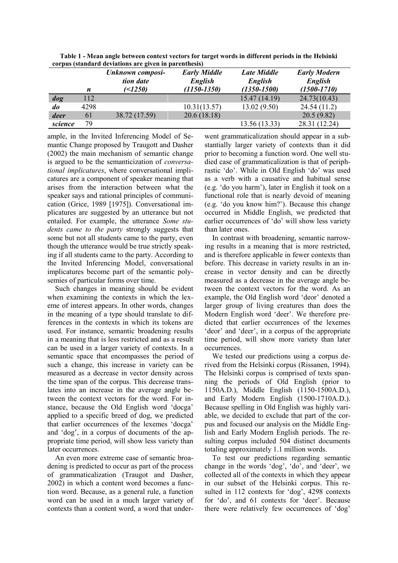| cui pus (stanuai u ucviations are given in parenthesis) |      |                                      |                                |                               |                                |
|---------------------------------------------------------|------|--------------------------------------|--------------------------------|-------------------------------|--------------------------------|
|                                                         |      | Unknown composi-<br><i>tion date</i> | <b>Early Middle</b><br>English | <b>Late Middle</b><br>English | <b>Early Modern</b><br>English |
|                                                         | n    | ( < 1250)                            | $(1150 - 1350)$                | $(1350 - 1500)$               | $(1500 - 1710)$                |
| dog                                                     | 112  |                                      |                                | 15.47 (14.19)                 | 24.73(10.43)                   |
| do                                                      | 4298 |                                      | 10.31(13.57)                   | 13.02(9.50)                   | 24.54(11.2)                    |
| deer                                                    | 61   | 38.72 (17.59)                        | 20.6(18.18)                    |                               | 20.5(9.82)                     |
| science                                                 | 79   |                                      |                                | 13.56 (13.33)                 | 28.31 (12.24)                  |

**Table 1 - Mean angle between context vectors for target words in different periods in the Helsinki corpus (standard deviations are given in parenthesis)**

ample, in the Invited Inferencing Model of Semantic Change proposed by Traugott and Dasher (2002) the main mechanism of semantic change is argued to be the semanticization of *conversational implicatures*, where conversational implicatures are a component of speaker meaning that arises from the interaction between what the speaker says and rational principles of communication (Grice, 1989 [1975]). Conversational implicatures are suggested by an utterance but not entailed. For example, the utterance *Some students came to the party* strongly suggests that some but not all students came to the party, even though the utterance would be true strictly speaking if all students came to the party. According to the Invited Inferencing Model, conversational implicatures become part of the semantic polysemies of particular forms over time.

Such changes in meaning should be evident when examining the contexts in which the lexeme of interest appears. In other words, changes in the meaning of a type should translate to differences in the contexts in which its tokens are used. For instance, semantic broadening results in a meaning that is less restricted and as a result can be used in a larger variety of contexts. In a semantic space that encompasses the period of such a change, this increase in variety can be measured as a decrease in vector density across the time span of the corpus. This decrease translates into an increase in the average angle between the context vectors for the word. For instance, because the Old English word "docga" applied to a specific breed of dog, we predicted that earlier occurrences of the lexemes "docga" and "dog", in a corpus of documents of the appropriate time period, will show less variety than later occurrences.

An even more extreme case of semantic broadening is predicted to occur as part of the process of grammaticalization (Traugot and Dasher, 2002) in which a content word becomes a function word. Because, as a general rule, a function word can be used in a much larger variety of contexts than a content word, a word that under-

went grammaticalization should appear in a substantially larger variety of contexts than it did prior to becoming a function word. One well studied case of grammaticalization is that of periphrastic "do". While in Old English "do" was used as a verb with a causative and habitual sense (e.g. "do you harm"), later in English it took on a functional role that is nearly devoid of meaning (e.g. "do you know him?"). Because this change occurred in Middle English, we predicted that earlier occurrences of 'do' will show less variety than later ones.

In contrast with broadening, semantic narrowing results in a meaning that is more restricted, and is therefore applicable in fewer contexts than before. This decrease in variety results in an increase in vector density and can be directly measured as a decrease in the average angle between the context vectors for the word. As an example, the Old English word 'deor' denoted a larger group of living creatures than does the Modern English word "deer". We therefore predicted that earlier occurrences of the lexemes 'deor' and 'deer', in a corpus of the appropriate time period, will show more variety than later occurrences.

We tested our predictions using a corpus derived from the Helsinki corpus (Rissanen, 1994). The Helsinki corpus is comprised of texts spanning the periods of Old English (prior to 1150A.D.), Middle English (1150-1500A.D.), and Early Modern English (1500-1710A.D.). Because spelling in Old English was highly variable, we decided to exclude that part of the corpus and focused our analysis on the Middle English and Early Modern English periods. The resulting corpus included 504 distinct documents totaling approximately 1.1 million words.

To test our predictions regarding semantic change in the words "dog", "do", and "deer", we collected all of the contexts in which they appear in our subset of the Helsinki corpus. This resulted in 112 contexts for 'dog', 4298 contexts for 'do', and 61 contexts for 'deer'. Because there were relatively few occurrences of 'dog'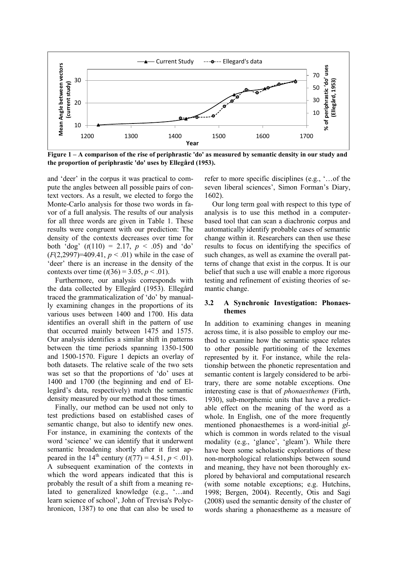

**Figure 1 – A comparison of the rise of periphrastic 'do' as measured by semantic density in our study and the proportion of periphrastic 'do' uses by Ellegård (1953).**

and "deer" in the corpus it was practical to compute the angles between all possible pairs of context vectors. As a result, we elected to forgo the Monte-Carlo analysis for those two words in favor of a full analysis. The results of our analysis for all three words are given in Table 1. These results were congruent with our prediction: The density of the contexts decreases over time for both 'dog'  $(t(110) = 2.17, p < .05)$  and 'do' (*F*(2,2997)=409.41, *p* < .01) while in the case of 'deer' there is an increase in the density of the contexts over time  $(t(36) = 3.05, p < .01)$ .

Furthermore, our analysis corresponds with the data collected by Ellegård (1953). Ellegård traced the grammaticalization of "do" by manually examining changes in the proportions of its various uses between 1400 and 1700. His data identifies an overall shift in the pattern of use that occurred mainly between 1475 and 1575. Our analysis identifies a similar shift in patterns between the time periods spanning 1350-1500 and 1500-1570. Figure 1 depicts an overlay of both datasets. The relative scale of the two sets was set so that the proportions of 'do' uses at 1400 and 1700 (the beginning and end of Ellegård"s data, respectively) match the semantic density measured by our method at those times.

Finally, our method can be used not only to test predictions based on established cases of semantic change, but also to identify new ones. For instance, in examining the contexts of the word "science" we can identify that it underwent semantic broadening shortly after it first appeared in the 14<sup>th</sup> century ( $t(77) = 4.51, p < .01$ ). A subsequent examination of the contexts in which the word appears indicated that this is probably the result of a shift from a meaning related to generalized knowledge (e.g., '...and learn science of school", John of Trevisa's Polychronicon, 1387) to one that can also be used to

refer to more specific disciplines (e.g., "…of the seven liberal sciences', Simon Forman's Diary, 1602).

Our long term goal with respect to this type of analysis is to use this method in a computerbased tool that can scan a diachronic corpus and automatically identify probable cases of semantic change within it. Researchers can then use these results to focus on identifying the specifics of such changes, as well as examine the overall patterns of change that exist in the corpus. It is our belief that such a use will enable a more rigorous testing and refinement of existing theories of semantic change.

### **3.2 A Synchronic Investigation: Phonaesthemes**

In addition to examining changes in meaning across time, it is also possible to employ our method to examine how the semantic space relates to other possible partitioning of the lexemes represented by it. For instance, while the relationship between the phonetic representation and semantic content is largely considered to be arbitrary, there are some notable exceptions. One interesting case is that of *phonaesthemes* (Firth, 1930), sub-morphemic units that have a predictable effect on the meaning of the word as a whole. In English, one of the more frequently mentioned phonaesthemes is a word-initial *gl*which is common in words related to the visual modality (e.g., 'glance', 'gleam'). While there have been some scholastic explorations of these non-morphological relationships between sound and meaning, they have not been thoroughly explored by behavioral and computational research (with some notable exceptions; e.g. Hutchins, 1998; Bergen, 2004). Recently, Otis and Sagi (2008) used the semantic density of the cluster of words sharing a phonaestheme as a measure of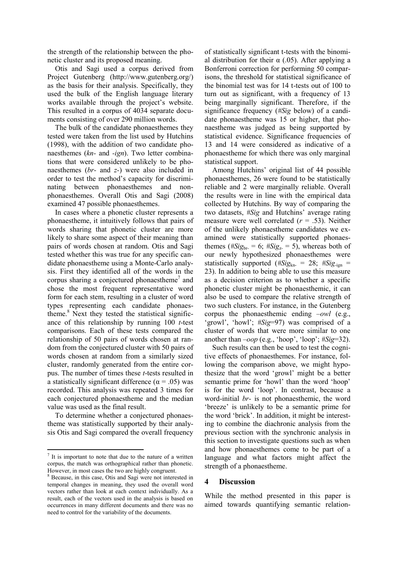the strength of the relationship between the phonetic cluster and its proposed meaning.

Otis and Sagi used a corpus derived from Project Gutenberg (http://www.gutenberg.org/) as the basis for their analysis. Specifically, they used the bulk of the English language literary works available through the project's website. This resulted in a corpus of 4034 separate documents consisting of over 290 million words.

The bulk of the candidate phonaesthemes they tested were taken from the list used by Hutchins (1998), with the addition of two candidate phonaesthemes (*kn-* and *-ign*). Two letter combinations that were considered unlikely to be phonaesthemes (*br-* and *z-*) were also included in order to test the method"s capacity for discriminating between phonaesthemes and nonphonaesthemes. Overall Otis and Sagi (2008) examined 47 possible phonaesthemes.

In cases where a phonetic cluster represents a phonaestheme, it intuitively follows that pairs of words sharing that phonetic cluster are more likely to share some aspect of their meaning than pairs of words chosen at random. Otis and Sagi tested whether this was true for any specific candidate phonaestheme using a Monte-Carlo analysis. First they identified all of the words in the corpus sharing a conjectured phonaestheme<sup>7</sup> and chose the most frequent representative word form for each stem, resulting in a cluster of word types representing each candidate phonaestheme. $8$  Next they tested the statistical significance of this relationship by running 100 *t*-test comparisons. Each of these tests compared the relationship of 50 pairs of words chosen at random from the conjectured cluster with 50 pairs of words chosen at random from a similarly sized cluster, randomly generated from the entire corpus. The number of times these *t*-tests resulted in a statistically significant difference ( $\alpha$  = .05) was recorded. This analysis was repeated 3 times for each conjectured phonaestheme and the median value was used as the final result.

To determine whether a conjectured phonaestheme was statistically supported by their analysis Otis and Sagi compared the overall frequency

of statistically significant t-tests with the binomial distribution for their  $\alpha$  (.05). After applying a Bonferroni correction for performing 50 comparisons, the threshold for statistical significance of the binomial test was for 14 t-tests out of 100 to turn out as significant, with a frequency of 13 being marginally significant. Therefore, if the significance frequency (*#Sig* below) of a candidate phonaestheme was 15 or higher, that phonaestheme was judged as being supported by statistical evidence. Significance frequencies of 13 and 14 were considered as indicative of a phonaestheme for which there was only marginal statistical support.

Among Hutchins" original list of 44 possible phonaesthemes, 26 were found to be statistically reliable and 2 were marginally reliable. Overall the results were in line with the empirical data collected by Hutchins. By way of comparing the two datasets, *#Sig* and Hutchins' average rating measure were well correlated (*r* = .53). Neither of the unlikely phonaestheme candidates we examined were statistically supported phonaesthemes ( $\#Sig_{br} = 6$ ;  $\#Sig_{z} = 5$ ), whereas both of our newly hypothesized phonaesthemes were statistically supported ( $#Sig_{kn} = 28$ ;  $#Sig_{-ign} =$ 23). In addition to being able to use this measure as a decision criterion as to whether a specific phonetic cluster might be phonaesthemic, it can also be used to compare the relative strength of two such clusters. For instance, in the Gutenberg corpus the phonaesthemic ending *–owl* (e.g., 'growl', 'howl'; #Sig=97) was comprised of a cluster of words that were more similar to one another than *–oop* (e.g., "hoop", "loop"; *#Sig*=32).

Such results can then be used to test the cognitive effects of phonaesthemes. For instance, following the comparison above, we might hypothesize that the word "growl" might be a better semantic prime for 'howl' than the word 'hoop' is for the word "loop". In contrast, because a word-initial *br-* is not phonaesthemic, the word "breeze" is unlikely to be a semantic prime for the word "brick". In addition, it might be interesting to combine the diachronic analysis from the previous section with the synchronic analysis in this section to investigate questions such as when and how phonaesthemes come to be part of a language and what factors might affect the strength of a phonaestheme.

## **4 Discussion**

While the method presented in this paper is aimed towards quantifying semantic relation-

 $7$  It is important to note that due to the nature of a written corpus, the match was orthographical rather than phonetic. However, in most cases the two are highly congruent.

<sup>8</sup> Because, in this case, Otis and Sagi were not interested in temporal changes in meaning, they used the overall word vectors rather than look at each context individually. As a result, each of the vectors used in the analysis is based on occurrences in many different documents and there was no need to control for the variability of the documents.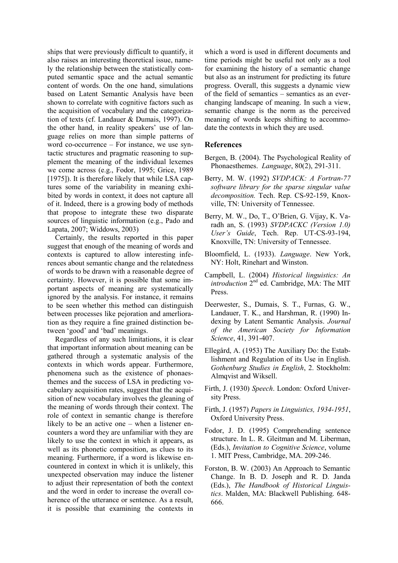ships that were previously difficult to quantify, it also raises an interesting theoretical issue, namely the relationship between the statistically computed semantic space and the actual semantic content of words. On the one hand, simulations based on Latent Semantic Analysis have been shown to correlate with cognitive factors such as the acquisition of vocabulary and the categorization of texts (cf. Landauer & Dumais, 1997). On the other hand, in reality speakers' use of language relies on more than simple patterns of word co-occurrence – For instance, we use syntactic structures and pragmatic reasoning to supplement the meaning of the individual lexemes we come across (e.g., Fodor, 1995; Grice, 1989 [1975]). It is therefore likely that while LSA captures some of the variability in meaning exhibited by words in context, it does not capture all of it. Indeed, there is a growing body of methods that propose to integrate these two disparate sources of linguistic information (e.g., Pado and Lapata, 2007; Widdows, 2003)

Certainly, the results reported in this paper suggest that enough of the meaning of words and contexts is captured to allow interesting inferences about semantic change and the relatedness of words to be drawn with a reasonable degree of certainty. However, it is possible that some important aspects of meaning are systematically ignored by the analysis. For instance, it remains to be seen whether this method can distinguish between processes like pejoration and amerlioration as they require a fine grained distinction between 'good' and 'bad' meanings.

Regardless of any such limitations, it is clear that important information about meaning can be gathered through a systematic analysis of the contexts in which words appear. Furthermore, phenomena such as the existence of phonaesthemes and the success of LSA in predicting vocabulary acquisition rates, suggest that the acquisition of new vocabulary involves the gleaning of the meaning of words through their context. The role of context in semantic change is therefore likely to be an active one – when a listener encounters a word they are unfamiliar with they are likely to use the context in which it appears, as well as its phonetic composition, as clues to its meaning. Furthermore, if a word is likewise encountered in context in which it is unlikely, this unexpected observation may induce the listener to adjust their representation of both the context and the word in order to increase the overall coherence of the utterance or sentence. As a result, it is possible that examining the contexts in which a word is used in different documents and time periods might be useful not only as a tool for examining the history of a semantic change but also as an instrument for predicting its future progress. Overall, this suggests a dynamic view of the field of semantics – semantics as an everchanging landscape of meaning. In such a view, semantic change is the norm as the perceived meaning of words keeps shifting to accommodate the contexts in which they are used.

## **References**

- Bergen, B. (2004). The Psychological Reality of Phonaesthemes. *Language*, 80(2), 291-311.
- Berry, M. W. (1992) *SVDPACK: A Fortran-77 software library for the sparse singular value decomposition.* Tech. Rep. CS-92-159, Knoxville, TN: University of Tennessee.
- Berry, M. W., Do, T., O"Brien, G. Vijay, K. Varadh an, S. (1993) *SVDPACKC (Version 1.0) User's Guide*, Tech. Rep. UT-CS-93-194, Knoxville, TN: University of Tennessee.
- Bloomfield, L. (1933). *Language*. New York, NY: Holt, Rinehart and Winston.
- Campbell, L. (2004) *Historical linguistics: An introduction* 2<sup>nd</sup> ed. Cambridge, MA: The MIT Press.
- Deerwester, S., Dumais, S. T., Furnas, G. W., Landauer, T. K., and Harshman, R. (1990) Indexing by Latent Semantic Analysis. *Journal of the American Society for Information Science*, 41, 391-407.
- Ellegård, A. (1953) The Auxiliary Do: the Establishment and Regulation of its Use in English. *Gothenburg Studies in English*, 2. Stockholm: Almqvist and Wiksell.
- Firth, J. (1930) *Speech*. London: Oxford University Press.
- Firth, J. (1957) *Papers in Linguistics, 1934-1951*, Oxford University Press.
- Fodor, J. D. (1995) Comprehending sentence structure. In L. R. Gleitman and M. Liberman, (Eds.), *Invitation to Cognitive Science*, volume 1. MIT Press, Cambridge, MA. 209-246.
- Forston, B. W. (2003) An Approach to Semantic Change. In B. D. Joseph and R. D. Janda (Eds.), *The Handbook of Historical Linguistics*. Malden, MA: Blackwell Publishing. 648- 666.